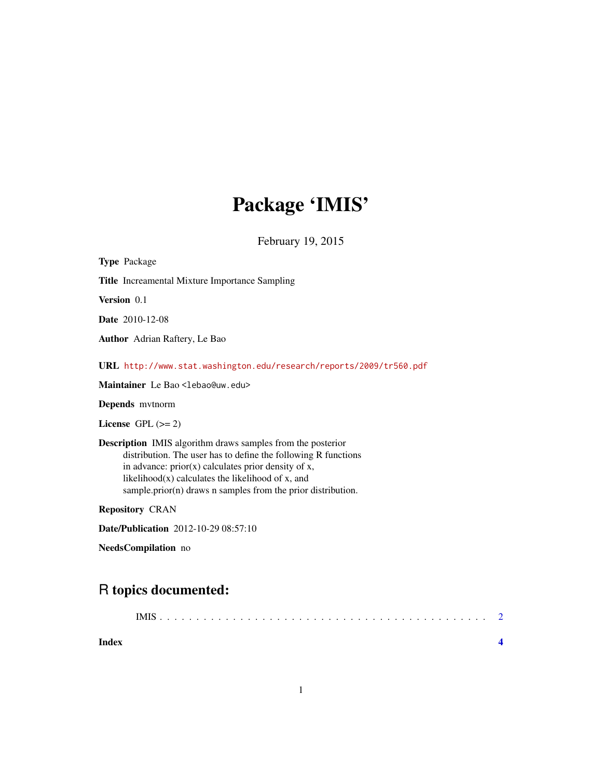## Package 'IMIS'

February 19, 2015

Type Package Title Increamental Mixture Importance Sampling Version 0.1 Date 2010-12-08 Author Adrian Raftery, Le Bao URL <http://www.stat.washington.edu/research/reports/2009/tr560.pdf> Maintainer Le Bao <lebao@uw.edu> Depends mvtnorm License GPL  $(>= 2)$ Description IMIS algorithm draws samples from the posterior distribution. The user has to define the following R functions in advance:  $prior(x)$  calculates prior density of x, likelihood $(x)$  calculates the likelihood of x, and sample.prior(n) draws n samples from the prior distribution. Repository CRAN Date/Publication 2012-10-29 08:57:10

NeedsCompilation no

### R topics documented:

| Index |  |
|-------|--|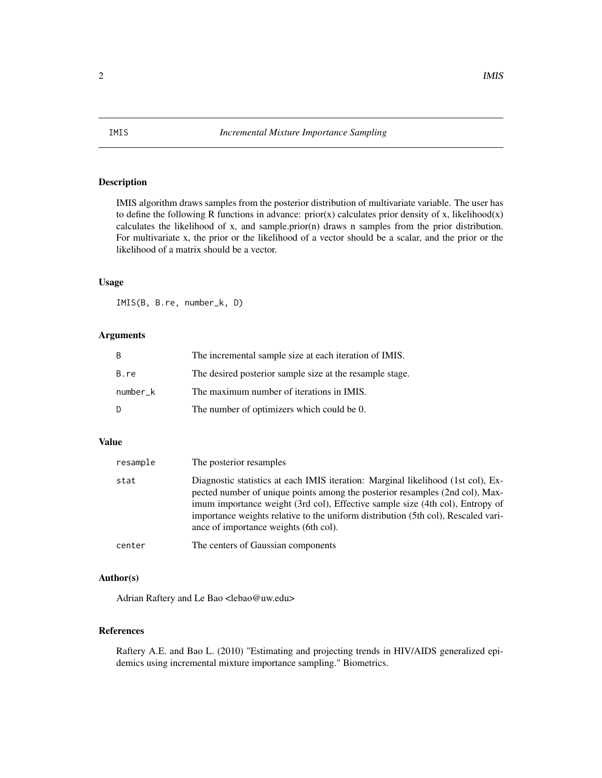#### Description

IMIS algorithm draws samples from the posterior distribution of multivariate variable. The user has to define the following R functions in advance:  $prior(x)$  calculates prior density of x, likelihood(x) calculates the likelihood of x, and sample.prior(n) draws n samples from the prior distribution. For multivariate x, the prior or the likelihood of a vector should be a scalar, and the prior or the likelihood of a matrix should be a vector.

#### Usage

IMIS(B, B.re, number\_k, D)

#### Arguments

| <sup>B</sup> | The incremental sample size at each iteration of IMIS.   |
|--------------|----------------------------------------------------------|
| B.re         | The desired posterior sample size at the resample stage. |
| number k     | The maximum number of iterations in IMIS.                |
| -D           | The number of optimizers which could be 0.               |

#### Value

| resample | The posterior resamples                                                                                                                                                                                                                                                                                                                                                         |
|----------|---------------------------------------------------------------------------------------------------------------------------------------------------------------------------------------------------------------------------------------------------------------------------------------------------------------------------------------------------------------------------------|
| stat     | Diagnostic statistics at each IMIS iteration: Marginal likelihood (1st col), Ex-<br>pected number of unique points among the posterior resamples (2nd col), Max-<br>imum importance weight (3rd col), Effective sample size (4th col), Entropy of<br>importance weights relative to the uniform distribution (5th col), Rescaled vari-<br>ance of importance weights (6th col). |
| center   | The centers of Gaussian components                                                                                                                                                                                                                                                                                                                                              |

#### Author(s)

Adrian Raftery and Le Bao <lebao@uw.edu>

#### References

Raftery A.E. and Bao L. (2010) "Estimating and projecting trends in HIV/AIDS generalized epidemics using incremental mixture importance sampling." Biometrics.

#### <span id="page-1-0"></span>2 **IMIS**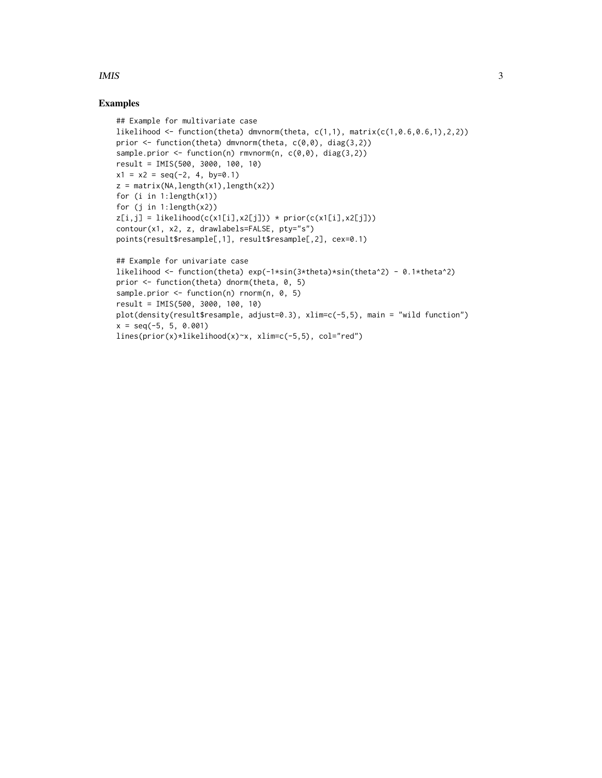#### $IMIS$  3

#### Examples

```
## Example for multivariate case
likelihood <- function(theta) dmvnorm(theta, c(1,1), matrix(c(1,0.6,0.6,1),2,2))
prior <- function(theta) dmvnorm(theta, c(0,0), diag(3,2))
sample.prior \leq function(n) rmvnorm(n, c(\emptyset, \emptyset), diag(3,2))
result = IMIS(500, 3000, 100, 10)
x1 = x2 = seq(-2, 4, by=0.1)z = matrix(NA, length(x1), length(x2))for (i in 1:length(x1))
for (j in 1: length(x2))
z[i,j] = likelihood(c(x1[i], x2[j])) * prior(c(x1[i], x2[j]))contour(x1, x2, z, drawlabels=FALSE, pty="s")
points(result$resample[,1], result$resample[,2], cex=0.1)
## Example for univariate case
likelihood <- function(theta) exp(-1*sin(3*theta)*sin(theta^2) - 0.1*theta^2)
prior <- function(theta) dnorm(theta, 0, 5)
sample.prior \leq function(n) rnorm(n, 0, 5)
result = IMIS(500, 3000, 100, 10)
plot(density(result$resample, adjust=0.3), xlim=c(-5,5), main = "wild function")
x = seq(-5, 5, 0.001)lines(prior(x)*likelihood(x)~x, xlim=c(-5,5), col="red")
```